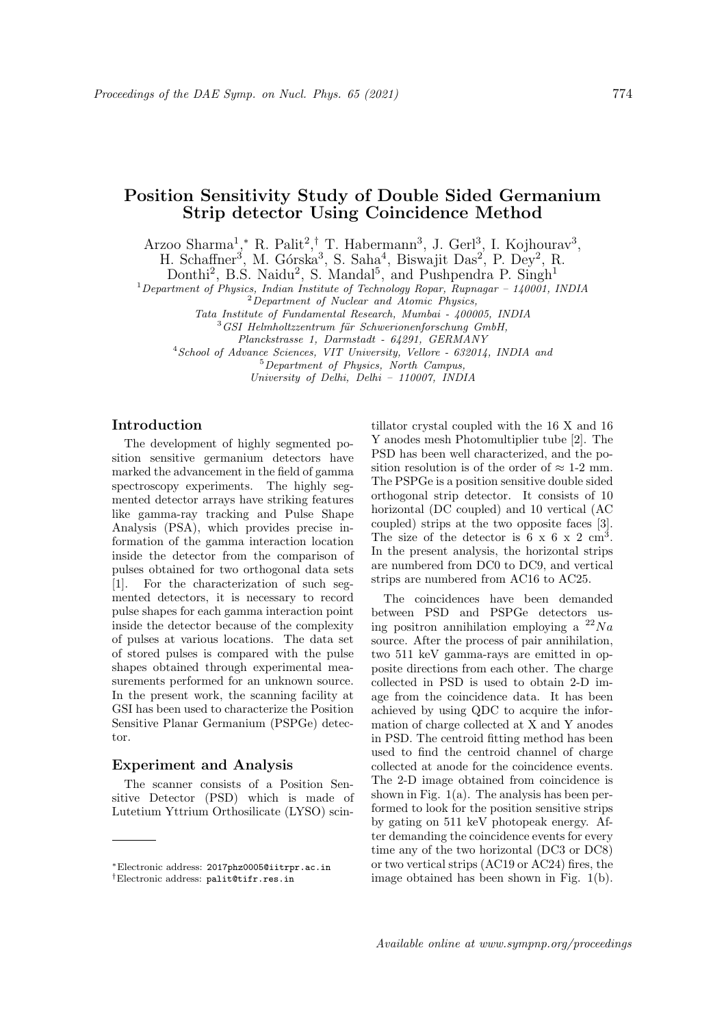# Position Sensitivity Study of Double Sided Germanium Strip detector Using Coincidence Method

Arzoo Sharma<sup>1</sup>,\* R. Palit<sup>2</sup>,<sup>†</sup> T. Habermann<sup>3</sup>, J. Gerl<sup>3</sup>, I. Kojhourav<sup>3</sup>,

H. Schaffner<sup>3</sup>, M. Górska<sup>3</sup>, S. Saha<sup>4</sup>, Biswajit Das<sup>2</sup>, P. Dey<sup>2</sup>, R.

Donthi<sup>2</sup>, B.S. Naidu<sup>2</sup>, S. Mandal<sup>5</sup>, and Pushpendra P. Singh<sup>1</sup>

 $1$ Department of Physics, Indian Institute of Technology Ropar, Rupnagar – 140001, INDIA

 $2^{2}$ Department of Nuclear and Atomic Physics,

Tata Institute of Fundamental Research, Mumbai - 400005, INDIA

 $3$ GSI Helmholtzzentrum für Schwerionenforschung GmbH,

Planckstrasse 1, Darmstadt - 64291, GERMANY

<sup>4</sup>School of Advance Sciences, VIT University, Vellore - 632014, INDIA and

<sup>5</sup>Department of Physics, North Campus,

University of Delhi, Delhi – 110007, INDIA

## Introduction

The development of highly segmented position sensitive germanium detectors have marked the advancement in the field of gamma spectroscopy experiments. The highly segmented detector arrays have striking features like gamma-ray tracking and Pulse Shape Analysis (PSA), which provides precise information of the gamma interaction location inside the detector from the comparison of pulses obtained for two orthogonal data sets [1]. For the characterization of such segmented detectors, it is necessary to record pulse shapes for each gamma interaction point inside the detector because of the complexity of pulses at various locations. The data set of stored pulses is compared with the pulse shapes obtained through experimental measurements performed for an unknown source. In the present work, the scanning facility at GSI has been used to characterize the Position Sensitive Planar Germanium (PSPGe) detector.

### Experiment and Analysis

The scanner consists of a Position Sensitive Detector (PSD) which is made of Lutetium Yttrium Orthosilicate (LYSO) scintillator crystal coupled with the 16 X and 16 Y anodes mesh Photomultiplier tube [2]. The PSD has been well characterized, and the position resolution is of the order of  $\approx 1$ -2 mm. The PSPGe is a position sensitive double sided orthogonal strip detector. It consists of 10 horizontal (DC coupled) and 10 vertical (AC coupled) strips at the two opposite faces [3]. The size of the detector is  $6 \times 6 \times 2 \text{ cm}^3$ . In the present analysis, the horizontal strips are numbered from DC0 to DC9, and vertical strips are numbered from AC16 to AC25.

The coincidences have been demanded between PSD and PSPGe detectors using positron annihilation employing a  $^{22}Na$ source. After the process of pair annihilation, two 511 keV gamma-rays are emitted in opposite directions from each other. The charge collected in PSD is used to obtain 2-D image from the coincidence data. It has been achieved by using QDC to acquire the information of charge collected at X and Y anodes in PSD. The centroid fitting method has been used to find the centroid channel of charge collected at anode for the coincidence events. The 2-D image obtained from coincidence is shown in Fig. 1(a). The analysis has been performed to look for the position sensitive strips by gating on 511 keV photopeak energy. After demanding the coincidence events for every time any of the two horizontal (DC3 or DC8) or two vertical strips (AC19 or AC24) fires, the image obtained has been shown in Fig. 1(b).

<sup>∗</sup>Electronic address: 2017phz0005@iitrpr.ac.in †Electronic address: palit@tifr.res.in